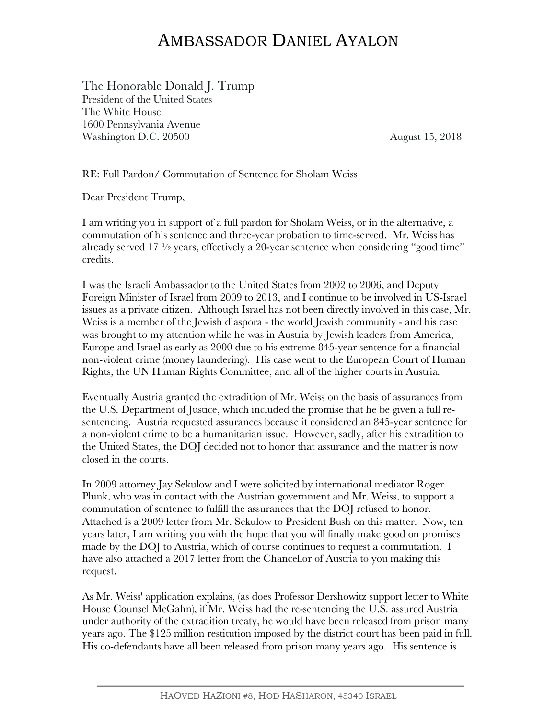## AMBASSADOR DANIEL AYALON

The Honorable Donald J. Trump President of the United States The White House 1600 Pennsylvania Avenue Washington D.C. 20500 August 15, 2018

RE: Full Pardon/ Commutation of Sentence for Sholam Weiss

Dear President Trump,

I am writing you in support of a full pardon for Sholam Weiss, or in the alternative, a commutation of his sentence and three-year probation to time-served. Mr. Weiss has already served  $17\frac{1}{2}$  years, effectively a 20-year sentence when considering "good time" credits.

I was the Israeli Ambassador to the United States from 2002 to 2006, and Deputy Foreign Minister of Israel from 2009 to 2013, and I continue to be involved in US-Israel issues as a private citizen. Although Israel has not been directly involved in this case, Mr. Weiss is a member of the Jewish diaspora - the world Jewish community - and his case was brought to my attention while he was in Austria by Jewish leaders from America, Europe and Israel as early as 2000 due to his extreme 845-year sentence for a financial non-violent crime (money laundering). His case went to the European Court of Human Rights, the UN Human Rights Committee, and all of the higher courts in Austria.

Eventually Austria granted the extradition of Mr. Weiss on the basis of assurances from the U.S. Department of Justice, which included the promise that he be given a full resentencing. Austria requested assurances because it considered an 845-year sentence for a non-violent crime to be a humanitarian issue. However, sadly, after his extradition to the United States, the DOJ decided not to honor that assurance and the matter is now closed in the courts.

In 2009 attorney Jay Sekulow and I were solicited by international mediator Roger Plunk, who was in contact with the Austrian government and Mr. Weiss, to support a commutation of sentence to fulfill the assurances that the DOJ refused to honor. Attached is a 2009 letter from Mr. Sekulow to President Bush on this matter. Now, ten years later, I am writing you with the hope that you will finally make good on promises made by the DOJ to Austria, which of course continues to request a commutation. I have also attached a 2017 letter from the Chancellor of Austria to you making this request.

As Mr. Weiss' application explains, (as does Professor Dershowitz support letter to White House Counsel McGahn), if Mr. Weiss had the re-sentencing the U.S. assured Austria under authority of the extradition treaty, he would have been released from prison many years ago. The \$125 million restitution imposed by the district court has been paid in full. His co-defendants have all been released from prison many years ago. His sentence is